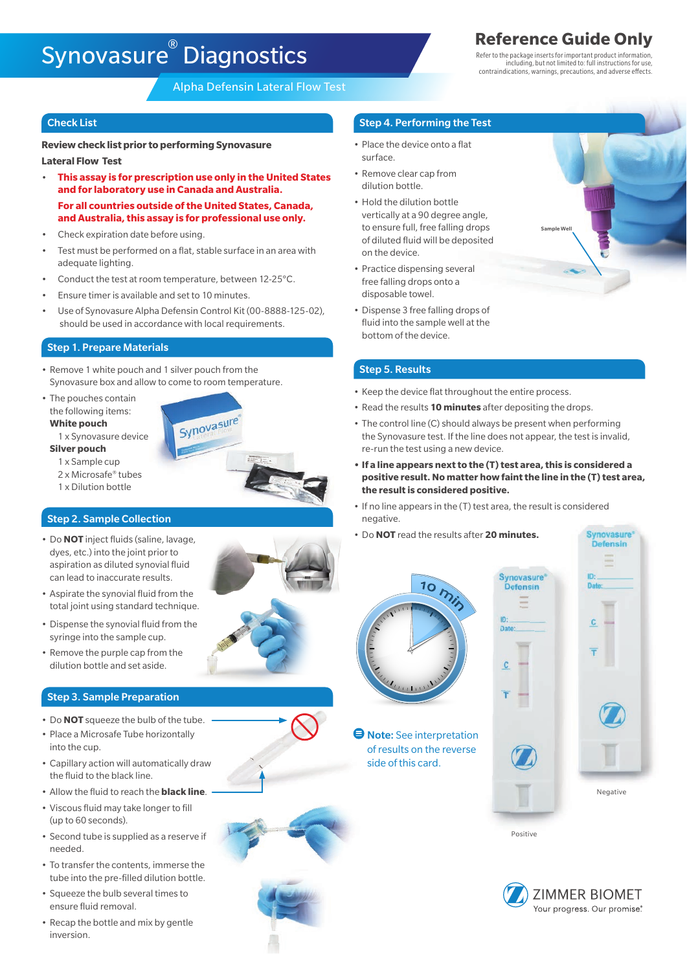# **Synovasure Diagnostics Reference Guide Only**

Alpha Defensin Lateral Flow Test

**Review check list prior to performing Synovasure Lateral Flow Test**

- **This assay is for prescription use only in the United States and for laboratory use in Canada and Australia. For all countries outside of the United States, Canada, and Australia, this assay is for professional use only.**
- Check expiration date before using.
- Test must be performed on a flat, stable surface in an area with adequate lighting.
- Conduct the test at room temperature, between 12-25°C.
- Ensure timer is available and set to 10 minutes.
- Use of Synovasure Alpha Defensin Control Kit (00-8888-125-02), should be used in accordance with local requirements.

Synovasure

## Step 1. Prepare Materials

- Remove 1 white pouch and 1 silver pouch from the Synovasure box and allow to come to room temperature.
- The pouches contain the following items:
- **White pouch**
- 1 x Synovasure device **Silver pouch**
	- 1 x Sample cup 2 x Microsafe® tubes
	- 1 x Dilution bottle

## Step 2. Sample Collection

- Do **NOT** inject fluids (saline, lavage, dyes, etc.) into the joint prior to aspiration as diluted synovial fluid can lead to inaccurate results.
- Aspirate the synovial fluid from the total joint using standard technique.
- Dispense the synovial fluid from the syringe into the sample cup.
- Remove the purple cap from the dilution bottle and set aside.

## Step 3. Sample Preparation

- Do **NOT** squeeze the bulb of the tube.
- Place a Microsafe Tube horizontally into the cup.
- Capillary action will automatically draw the fluid to the black line.
- Allow the fluid to reach the **black line**.
- Viscous fluid may take longer to fill (up to 60 seconds).
- Second tube is supplied as a reserve if needed.
- To transfer the contents, immerse the tube into the pre-filled dilution bottle.
- Squeeze the bulb several times to ensure fluid removal.
- Recap the bottle and mix by gentle inversion.

## **Check List** Step 4. Performing the Test Step 4. Performing the Test Step 4. Performing the Test

- Place the device onto a flat surface.
- Remove clear cap from dilution bottle.
- Hold the dilution bottle vertically at a 90 degree angle, to ensure full, free falling drops of diluted fluid will be deposited on the device.
- Practice dispensing several free falling drops onto a disposable towel.
- Dispense 3 free falling drops of fluid into the sample well at the bottom of the device.

## Step 5. Results

- Keep the device flat throughout the entire process.
- Read the results **10 minutes** after depositing the drops.
- The control line (C) should always be present when performing the Synovasure test. If the line does not appear, the test is invalid, re-run the test using a new device.
- **• If a line appears next to the (T) test area, this is considered a positive result. No matter how faint the line in the (T) test area, the result is considered positive.**

Date

 $\mathbf{c}$ 

- If no line appears in the (T) test area, the result is considered negative.
- Do **NOT** read the results after **20 minutes.**



**O** Note: See interpretation of results on the reverse side of this card.

| <u>raəuru</u><br>ensin | <b>THE R. P.</b><br>Date: |
|------------------------|---------------------------|
|                        |                           |
|                        | C                         |
|                        |                           |
|                        |                           |
|                        | D                         |
|                        |                           |
|                        | Negative                  |
|                        |                           |

vnovasure efensin

Positive



Refer to the package inserts for important product information, including, but not limited to: full instructions for use, contraindications, warnings, precautions, and adverse effects.

Sample Well